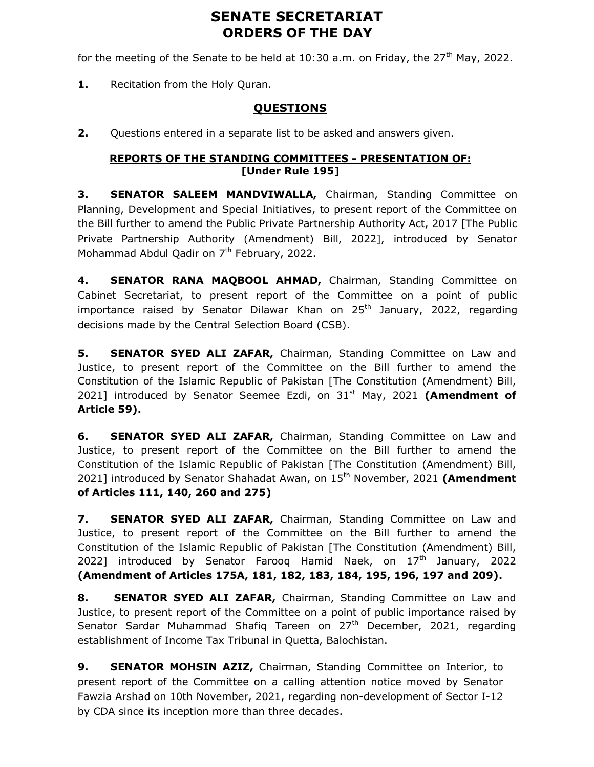# SENATE SECRETARIAT ORDERS OF THE DAY

for the meeting of the Senate to be held at  $10:30$  a.m. on Friday, the  $27<sup>th</sup>$  May, 2022.

1. Recitation from the Holy Quran.

## QUESTIONS

2. Questions entered in a separate list to be asked and answers given.

### REPORTS OF THE STANDING COMMITTEES - PRESENTATION OF: [Under Rule 195]

3. SENATOR SALEEM MANDVIWALLA, Chairman, Standing Committee on Planning, Development and Special Initiatives, to present report of the Committee on the Bill further to amend the Public Private Partnership Authority Act, 2017 [The Public Private Partnership Authority (Amendment) Bill, 2022], introduced by Senator Mohammad Abdul Qadir on  $7<sup>th</sup>$  February, 2022.

4. SENATOR RANA MAQBOOL AHMAD, Chairman, Standing Committee on Cabinet Secretariat, to present report of the Committee on a point of public importance raised by Senator Dilawar Khan on  $25<sup>th</sup>$  January, 2022, regarding decisions made by the Central Selection Board (CSB).

5. SENATOR SYED ALI ZAFAR, Chairman, Standing Committee on Law and Justice, to present report of the Committee on the Bill further to amend the Constitution of the Islamic Republic of Pakistan [The Constitution (Amendment) Bill, 2021] introduced by Senator Seemee Ezdi, on  $31<sup>st</sup>$  May, 2021 (Amendment of Article 59).

**6. SENATOR SYED ALI ZAFAR, Chairman, Standing Committee on Law and** Justice, to present report of the Committee on the Bill further to amend the Constitution of the Islamic Republic of Pakistan [The Constitution (Amendment) Bill, 2021] introduced by Senator Shahadat Awan, on 15<sup>th</sup> November, 2021 (Amendment of Articles 111, 140, 260 and 275)

7. SENATOR SYED ALI ZAFAR, Chairman, Standing Committee on Law and Justice, to present report of the Committee on the Bill further to amend the Constitution of the Islamic Republic of Pakistan [The Constitution (Amendment) Bill, 2022] introduced by Senator Farooq Hamid Naek, on  $17<sup>th</sup>$  January, 2022 (Amendment of Articles 175A, 181, 182, 183, 184, 195, 196, 197 and 209).

8. SENATOR SYED ALI ZAFAR, Chairman, Standing Committee on Law and Justice, to present report of the Committee on a point of public importance raised by Senator Sardar Muhammad Shafiq Tareen on  $27<sup>th</sup>$  December, 2021, regarding establishment of Income Tax Tribunal in Quetta, Balochistan.

9. SENATOR MOHSIN AZIZ, Chairman, Standing Committee on Interior, to present report of the Committee on a calling attention notice moved by Senator Fawzia Arshad on 10th November, 2021, regarding non-development of Sector I-12 by CDA since its inception more than three decades.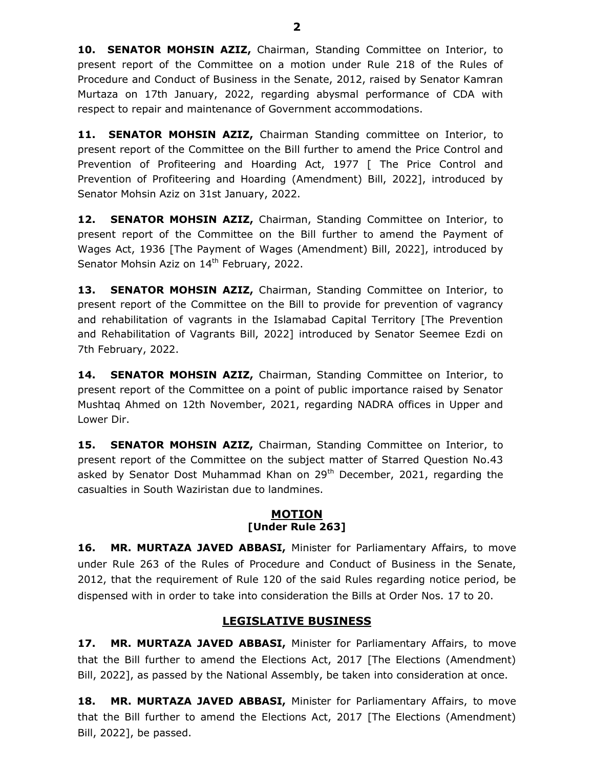10. SENATOR MOHSIN AZIZ, Chairman, Standing Committee on Interior, to present report of the Committee on a motion under Rule 218 of the Rules of Procedure and Conduct of Business in the Senate, 2012, raised by Senator Kamran Murtaza on 17th January, 2022, regarding abysmal performance of CDA with respect to repair and maintenance of Government accommodations.

11. SENATOR MOHSIN AZIZ, Chairman Standing committee on Interior, to present report of the Committee on the Bill further to amend the Price Control and Prevention of Profiteering and Hoarding Act, 1977 [ The Price Control and Prevention of Profiteering and Hoarding (Amendment) Bill, 2022], introduced by Senator Mohsin Aziz on 31st January, 2022.

12. SENATOR MOHSIN AZIZ, Chairman, Standing Committee on Interior, to present report of the Committee on the Bill further to amend the Payment of Wages Act, 1936 [The Payment of Wages (Amendment) Bill, 2022], introduced by Senator Mohsin Aziz on 14<sup>th</sup> February, 2022.

13. SENATOR MOHSIN AZIZ, Chairman, Standing Committee on Interior, to present report of the Committee on the Bill to provide for prevention of vagrancy and rehabilitation of vagrants in the Islamabad Capital Territory [The Prevention and Rehabilitation of Vagrants Bill, 2022] introduced by Senator Seemee Ezdi on 7th February, 2022.

14. SENATOR MOHSIN AZIZ, Chairman, Standing Committee on Interior, to present report of the Committee on a point of public importance raised by Senator Mushtaq Ahmed on 12th November, 2021, regarding NADRA offices in Upper and Lower Dir.

15. SENATOR MOHSIN AZIZ, Chairman, Standing Committee on Interior, to present report of the Committee on the subject matter of Starred Question No.43 asked by Senator Dost Muhammad Khan on 29<sup>th</sup> December, 2021, regarding the casualties in South Waziristan due to landmines.

### MOTION [Under Rule 263]

16. MR. MURTAZA JAVED ABBASI, Minister for Parliamentary Affairs, to move under Rule 263 of the Rules of Procedure and Conduct of Business in the Senate, 2012, that the requirement of Rule 120 of the said Rules regarding notice period, be dispensed with in order to take into consideration the Bills at Order Nos. 17 to 20.

### LEGISLATIVE BUSINESS

17. MR. MURTAZA JAVED ABBASI, Minister for Parliamentary Affairs, to move that the Bill further to amend the Elections Act, 2017 [The Elections (Amendment) Bill, 2022], as passed by the National Assembly, be taken into consideration at once.

**18. MR. MURTAZA JAVED ABBASI, Minister for Parliamentary Affairs, to move** that the Bill further to amend the Elections Act, 2017 [The Elections (Amendment) Bill, 2022], be passed.